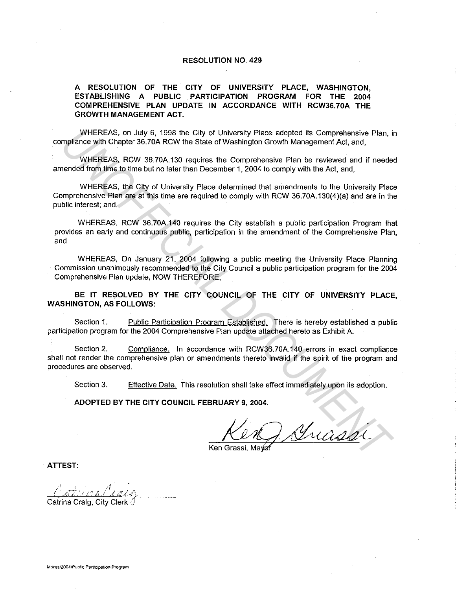## **RESOLUTION NO. 429**

## **A RESOLUTION OF THE CITY OF UNIVERSITY PLACE, WASHINGTON, ESTABLISHING A PUBLIC PARTICIPATION PROGRAM FOR THE 2004 COMPREHENSIVE PLAN UPDATE IN ACCORDANCE WITH RCW36.70A THE GROWTH MANAGEMENT ACT.**

WHEREAS, on July 6, 1998 the City of University Place adopted its Comprehensive Plan, in compliance with Chapter 36.70A RCW the State of Washington Growth Management Act, and,

WHEREAS, RCW 36.70A.130 requires the Comprehensive Plan be reviewed and if needed amended from time to time but no later than December 1, 2004 to comply with the Act, and,

WHEREAS, the City of University Place determined that amendments to the University Place Comprehensive Plan are at this time are required to comply with RCW 36.70A.130(4)(a) and are in the public interest; and, WHEREAS, on July 6, 1998 the City of University Place adopted its Componensive Plan in<br>mplibrice with Chapter 36.704 RCW the State of Washington Growth Management Act, and,<br>WHEREAS, RCW 36.70A RCW the State of Comprehensiv

WHEREAS, RCW 36.70A.140 requires the City establish a public participation Program that provides an early and continuous public, participation in the amendment of the Comprehensive Plan, and

WHEREAS, On January 21, 2004 following a public meeting the University Place Planning Commission unanimously recommended to the City Council a public participation program for the 2004 Comprehensive Plan update, NOW THEREFORE,

**BE IT RESOLVED BY THE CITY COUNCIL OF THE CITY OF UNIVERSITY PLACE, WASHINGTON, AS FOLLOWS:** 

Section 1. Public Participation Program Established. There is hereby established a public participation program for the 2004 Comprehensive Plan update attached hereto as Exhibit A.

Section 2. Compliance. In accordance with RCW36.70A.140 errors in exact compliance shall not render the comprehensive plan or amendments thereto invalid if the spirit of the program and procedures are observed.

Section 3. Effective Date. This resolution shall take effect immediately upon its adoption.

**ADOPTED BY THE CITY COUNCIL FEBRUARY 9, 2004.** 

Ken Grassi, Ma

**ATTEST:** 

Catrina Craig, City